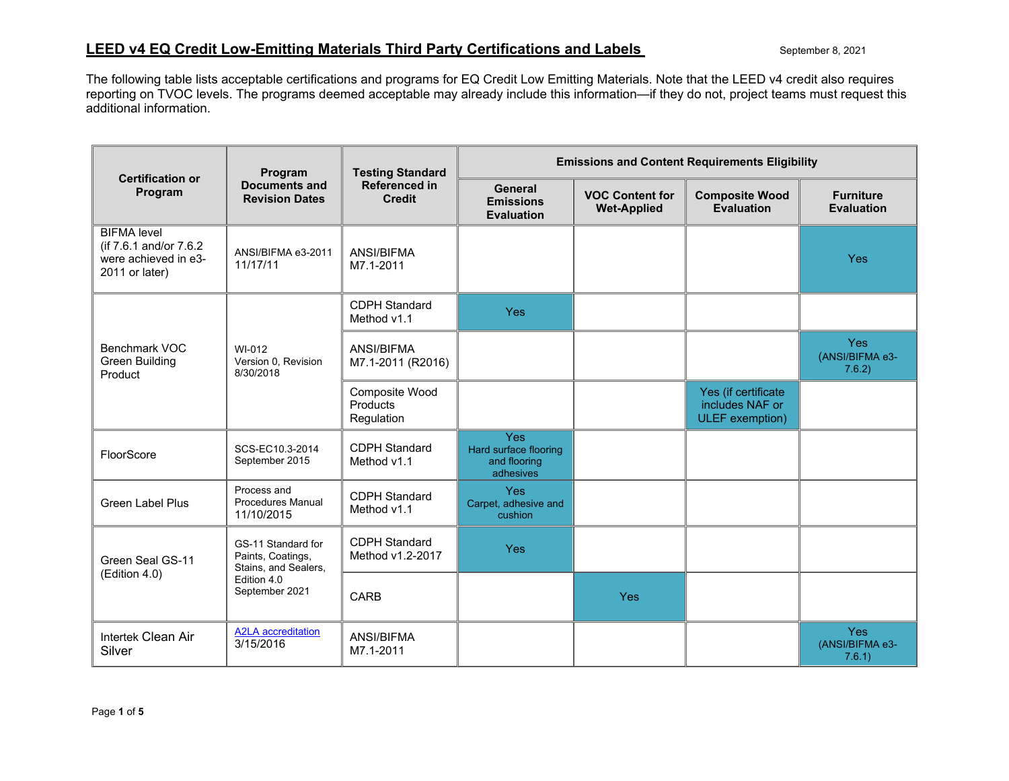The following table lists acceptable certifications and programs for EQ Credit Low Emitting Materials. Note that the LEED v4 credit also requires reporting on TVOC levels. The programs deemed acceptable may already include this information—if they do not, project teams must request this additional information.

| <b>Certification or</b><br>Program                                                     | Program<br><b>Documents and</b><br><b>Revision Dates</b>                                         | <b>Testing Standard</b><br>Referenced in<br><b>Credit</b> | <b>Emissions and Content Requirements Eligibility</b>            |                                              |                                                           |                                         |
|----------------------------------------------------------------------------------------|--------------------------------------------------------------------------------------------------|-----------------------------------------------------------|------------------------------------------------------------------|----------------------------------------------|-----------------------------------------------------------|-----------------------------------------|
|                                                                                        |                                                                                                  |                                                           | General<br><b>Emissions</b><br><b>Evaluation</b>                 | <b>VOC Content for</b><br><b>Wet-Applied</b> | <b>Composite Wood</b><br><b>Evaluation</b>                | <b>Furniture</b><br><b>Evaluation</b>   |
| <b>BIFMA</b> level<br>(if 7.6.1 and/or 7.6.2<br>were achieved in e3-<br>2011 or later) | ANSI/BIFMA e3-2011<br>11/17/11                                                                   | <b>ANSI/BIFMA</b><br>M7.1-2011                            |                                                                  |                                              |                                                           | <b>Yes</b>                              |
|                                                                                        | WI-012<br>Version 0, Revision<br>8/30/2018                                                       | <b>CDPH Standard</b><br>Method v1.1                       | Yes                                                              |                                              |                                                           |                                         |
| Benchmark VOC<br><b>Green Building</b><br>Product                                      |                                                                                                  | ANSI/BIFMA<br>M7.1-2011 (R2016)                           |                                                                  |                                              |                                                           | <b>Yes</b><br>(ANSI/BIFMA e3-<br>7.6.2) |
|                                                                                        |                                                                                                  | Composite Wood<br>Products<br>Regulation                  |                                                                  |                                              | Yes (if certificate<br>includes NAF or<br>ULEF exemption) |                                         |
| FloorScore                                                                             | SCS-EC10.3-2014<br>September 2015                                                                | <b>CDPH Standard</b><br>Method v1.1                       | <b>Yes</b><br>Hard surface flooring<br>and flooring<br>adhesives |                                              |                                                           |                                         |
| <b>Green Label Plus</b>                                                                | Process and<br><b>Procedures Manual</b><br>11/10/2015                                            | <b>CDPH Standard</b><br>Method v1.1                       | <b>Yes</b><br>Carpet, adhesive and<br>cushion                    |                                              |                                                           |                                         |
| Green Seal GS-11<br>(Edition 4.0)                                                      | GS-11 Standard for<br>Paints, Coatings,<br>Stains, and Sealers,<br>Edition 4.0<br>September 2021 | <b>CDPH Standard</b><br>Method v1.2-2017                  | Yes                                                              |                                              |                                                           |                                         |
|                                                                                        |                                                                                                  | <b>CARB</b>                                               |                                                                  | Yes                                          |                                                           |                                         |
| Intertek Clean Air<br>Silver                                                           | <b>A2LA</b> accreditation<br>3/15/2016                                                           | ANSI/BIFMA<br>M7.1-2011                                   |                                                                  |                                              |                                                           | <b>Yes</b><br>(ANSI/BIFMA e3-<br>7.6.1) |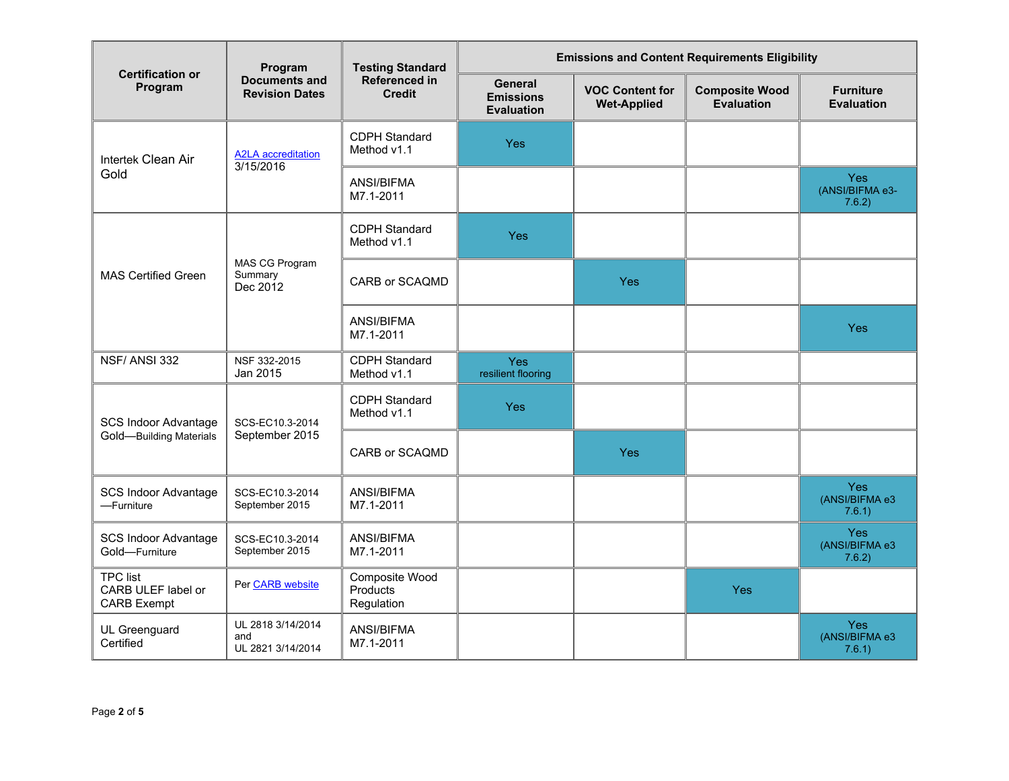| <b>Certification or</b><br>Program                          | Program<br><b>Documents and</b><br><b>Revision Dates</b> | <b>Testing Standard</b><br>Referenced in<br><b>Credit</b> | <b>Emissions and Content Requirements Eligibility</b>   |                                              |                                     |                                         |
|-------------------------------------------------------------|----------------------------------------------------------|-----------------------------------------------------------|---------------------------------------------------------|----------------------------------------------|-------------------------------------|-----------------------------------------|
|                                                             |                                                          |                                                           | <b>General</b><br><b>Emissions</b><br><b>Evaluation</b> | <b>VOC Content for</b><br><b>Wet-Applied</b> | <b>Composite Wood</b><br>Evaluation | <b>Furniture</b><br><b>Evaluation</b>   |
| Intertek Clean Air                                          | <b>A2LA</b> accreditation<br>3/15/2016                   | <b>CDPH Standard</b><br>Method v1.1                       | Yes                                                     |                                              |                                     |                                         |
| Gold                                                        |                                                          | ANSI/BIFMA<br>M7.1-2011                                   |                                                         |                                              |                                     | <b>Yes</b><br>(ANSI/BIFMA e3-<br>7.6.2) |
| <b>MAS Certified Green</b>                                  | MAS CG Program<br>Summary<br>Dec 2012                    | <b>CDPH Standard</b><br>Method v1.1                       | Yes                                                     |                                              |                                     |                                         |
|                                                             |                                                          | CARB or SCAQMD                                            |                                                         | <b>Yes</b>                                   |                                     |                                         |
|                                                             |                                                          | ANSI/BIFMA<br>M7.1-2011                                   |                                                         |                                              |                                     | <b>Yes</b>                              |
| NSF/ANSI 332                                                | NSF 332-2015<br>Jan 2015                                 | <b>CDPH Standard</b><br>Method v1.1                       | Yes<br>resilient flooring                               |                                              |                                     |                                         |
| <b>SCS Indoor Advantage</b><br>Gold-Building Materials      | SCS-EC10.3-2014<br>September 2015                        | <b>CDPH Standard</b><br>Method v1.1                       | Yes                                                     |                                              |                                     |                                         |
|                                                             |                                                          | CARB or SCAQMD                                            |                                                         | Yes                                          |                                     |                                         |
| <b>SCS Indoor Advantage</b><br>-Furniture                   | SCS-EC10.3-2014<br>September 2015                        | ANSI/BIFMA<br>M7.1-2011                                   |                                                         |                                              |                                     | Yes<br>(ANSI/BIFMA e3<br>7.6.1)         |
| <b>SCS Indoor Advantage</b><br>Gold-Furniture               | SCS-EC10.3-2014<br>September 2015                        | ANSI/BIFMA<br>M7.1-2011                                   |                                                         |                                              |                                     | <b>Yes</b><br>(ANSI/BIFMA e3<br>7.6.2)  |
| <b>TPC list</b><br>CARB ULEF label or<br><b>CARB Exempt</b> | Per CARB website                                         | Composite Wood<br>Products<br>Regulation                  |                                                         |                                              | Yes                                 |                                         |
| UL Greenguard<br>Certified                                  | UL 2818 3/14/2014<br>and<br>UL 2821 3/14/2014            | ANSI/BIFMA<br>M7.1-2011                                   |                                                         |                                              |                                     | <b>Yes</b><br>(ANSI/BIFMA e3<br>7.6.1)  |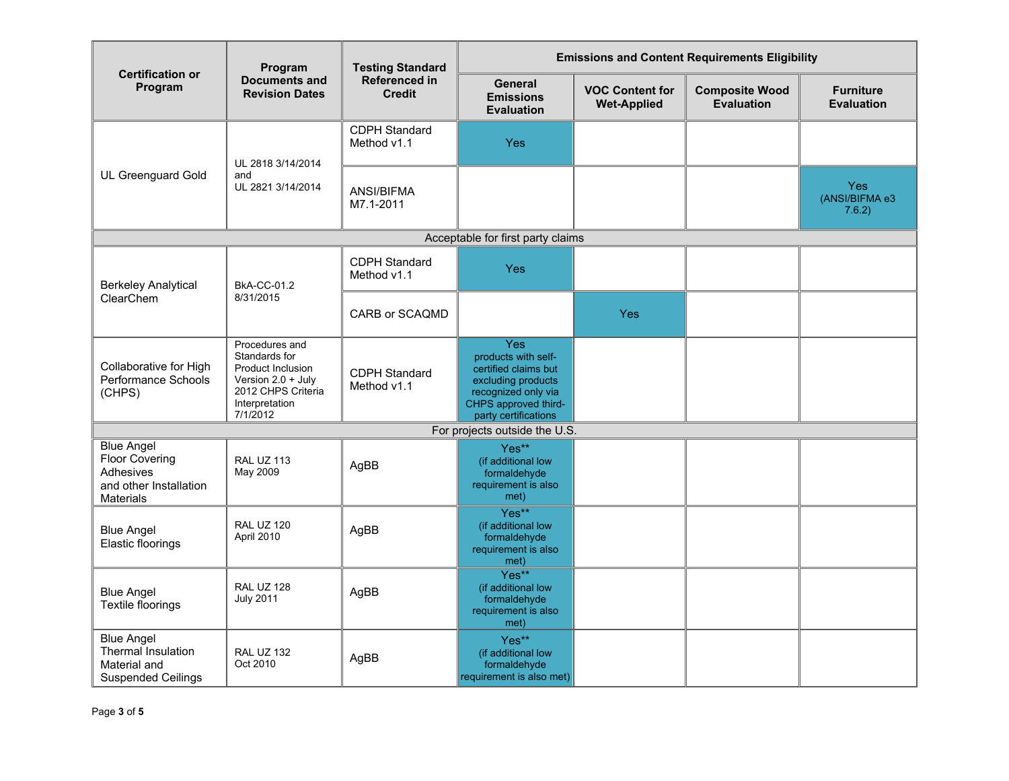| <b>Certification or</b><br>Program                                                                    | Program<br><b>Documents and</b><br><b>Revision Dates</b>                                                                         | <b>Testing Standard</b><br>Referenced in<br><b>Credit</b> | <b>Emissions and Content Requirements Eligibility</b>                                                                                                  |                                              |                                     |                                        |
|-------------------------------------------------------------------------------------------------------|----------------------------------------------------------------------------------------------------------------------------------|-----------------------------------------------------------|--------------------------------------------------------------------------------------------------------------------------------------------------------|----------------------------------------------|-------------------------------------|----------------------------------------|
|                                                                                                       |                                                                                                                                  |                                                           | General<br><b>Emissions</b><br><b>Evaluation</b>                                                                                                       | <b>VOC Content for</b><br><b>Wet-Applied</b> | <b>Composite Wood</b><br>Evaluation | <b>Furniture</b><br><b>Evaluation</b>  |
| <b>UL Greenguard Gold</b>                                                                             | UL 2818 3/14/2014<br>and<br>UL 2821 3/14/2014                                                                                    | <b>CDPH Standard</b><br>Method v1.1                       | Yes                                                                                                                                                    |                                              |                                     |                                        |
|                                                                                                       |                                                                                                                                  | ANSI/BIFMA<br>M7.1-2011                                   |                                                                                                                                                        |                                              |                                     | <b>Yes</b><br>(ANSI/BIFMA e3<br>7.6.2) |
|                                                                                                       |                                                                                                                                  |                                                           | Acceptable for first party claims                                                                                                                      |                                              |                                     |                                        |
| <b>Berkeley Analytical</b><br>ClearChem                                                               | <b>BkA-CC-01.2</b><br>8/31/2015                                                                                                  | <b>CDPH Standard</b><br>Method v1.1                       | Yes                                                                                                                                                    |                                              |                                     |                                        |
|                                                                                                       |                                                                                                                                  | CARB or SCAQMD                                            |                                                                                                                                                        | Yes                                          |                                     |                                        |
| Collaborative for High<br>Performance Schools<br>(CHPS)                                               | Procedures and<br>Standards for<br>Product Inclusion<br>Version $2.0 +$ July<br>2012 CHPS Criteria<br>Interpretation<br>7/1/2012 | <b>CDPH Standard</b><br>Method v1.1                       | <b>Yes</b><br>products with self-<br>certified claims but<br>excluding products<br>recognized only via<br>CHPS approved third-<br>party certifications |                                              |                                     |                                        |
|                                                                                                       |                                                                                                                                  |                                                           | For projects outside the U.S.                                                                                                                          |                                              |                                     |                                        |
| <b>Blue Angel</b><br><b>Floor Covering</b><br>Adhesives<br>and other Installation<br><b>Materials</b> | <b>RAL UZ 113</b><br>May 2009                                                                                                    | AgBB                                                      | Yes**<br>(if additional low<br>formaldehyde<br>requirement is also<br>met)                                                                             |                                              |                                     |                                        |
| <b>Blue Angel</b><br>Elastic floorings                                                                | <b>RAL UZ 120</b><br>April 2010                                                                                                  | AgBB                                                      | Yes**<br>(if additional low<br>formaldehyde<br>requirement is also<br>met)                                                                             |                                              |                                     |                                        |
| <b>Blue Angel</b><br>Textile floorings                                                                | <b>RAL UZ 128</b><br><b>July 2011</b>                                                                                            | AgBB                                                      | Yes**<br>(if additional low<br>formaldehyde<br>requirement is also<br>met)                                                                             |                                              |                                     |                                        |
| <b>Blue Angel</b><br>Thermal Insulation<br>Material and<br><b>Suspended Ceilings</b>                  | <b>RAL UZ 132</b><br>Oct 2010                                                                                                    | AgBB                                                      | Yes**<br>(if additional low<br>formaldehyde<br>requirement is also met)                                                                                |                                              |                                     |                                        |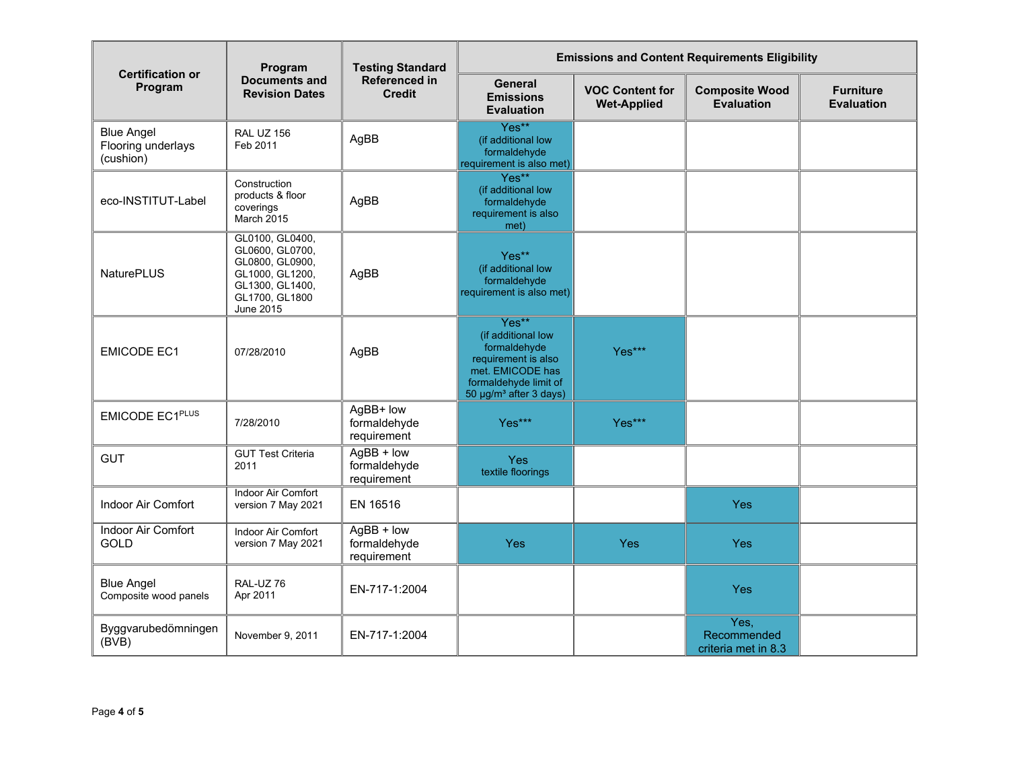| <b>Certification or</b>                              | Program<br><b>Documents and</b><br><b>Revision Dates</b>                                                                   | <b>Testing Standard</b><br>Referenced in<br><b>Credit</b> | <b>Emissions and Content Requirements Eligibility</b>                                                                                                 |                                              |                                            |                                       |
|------------------------------------------------------|----------------------------------------------------------------------------------------------------------------------------|-----------------------------------------------------------|-------------------------------------------------------------------------------------------------------------------------------------------------------|----------------------------------------------|--------------------------------------------|---------------------------------------|
| Program                                              |                                                                                                                            |                                                           | <b>General</b><br><b>Emissions</b><br><b>Evaluation</b>                                                                                               | <b>VOC Content for</b><br><b>Wet-Applied</b> | <b>Composite Wood</b><br><b>Evaluation</b> | <b>Furniture</b><br><b>Evaluation</b> |
| <b>Blue Angel</b><br>Flooring underlays<br>(cushion) | <b>RAL UZ 156</b><br>Feb 2011                                                                                              | AgBB                                                      | Yes**<br>(if additional low<br>formaldehyde<br>requirement is also met)                                                                               |                                              |                                            |                                       |
| eco-INSTITUT-Label                                   | Construction<br>products & floor<br>coverings<br>March 2015                                                                | AgBB                                                      | Yes**<br>(if additional low<br>formaldehyde<br>requirement is also<br>met)                                                                            |                                              |                                            |                                       |
| <b>NaturePLUS</b>                                    | GL0100, GL0400,<br>GL0600, GL0700,<br>GL0800, GL0900,<br>GL1000, GL1200,<br>GL1300, GL1400,<br>GL1700, GL1800<br>June 2015 | AgBB                                                      | Yes**<br>(if additional low<br>formaldehyde<br>requirement is also met)                                                                               |                                              |                                            |                                       |
| <b>EMICODE EC1</b>                                   | 07/28/2010                                                                                                                 | AgBB                                                      | Yes**<br>(if additional low<br>formaldehyde<br>requirement is also<br>met. EMICODE has<br>formaldehyde limit of<br>50 µg/m <sup>3</sup> after 3 days) | Yes***                                       |                                            |                                       |
| EMICODE EC1PLUS                                      | 7/28/2010                                                                                                                  | AgBB+ low<br>formaldehyde<br>requirement                  | Yes***                                                                                                                                                | Yes***                                       |                                            |                                       |
| <b>GUT</b>                                           | <b>GUT Test Criteria</b><br>2011                                                                                           | $AgBB + low$<br>formaldehyde<br>requirement               | <b>Yes</b><br>textile floorings                                                                                                                       |                                              |                                            |                                       |
| Indoor Air Comfort                                   | <b>Indoor Air Comfort</b><br>version 7 May 2021                                                                            | EN 16516                                                  |                                                                                                                                                       |                                              | Yes                                        |                                       |
| Indoor Air Comfort<br><b>GOLD</b>                    | Indoor Air Comfort<br>version 7 May 2021                                                                                   | $AgBB + low$<br>formaldehyde<br>requirement               | Yes                                                                                                                                                   | Yes                                          | Yes                                        |                                       |
| <b>Blue Angel</b><br>Composite wood panels           | RAL-UZ 76<br>Apr 2011                                                                                                      | EN-717-1:2004                                             |                                                                                                                                                       |                                              | Yes                                        |                                       |
| Byggvarubedömningen<br>(BVB)                         | November 9, 2011                                                                                                           | EN-717-1:2004                                             |                                                                                                                                                       |                                              | Yes,<br>Recommended<br>criteria met in 8.3 |                                       |